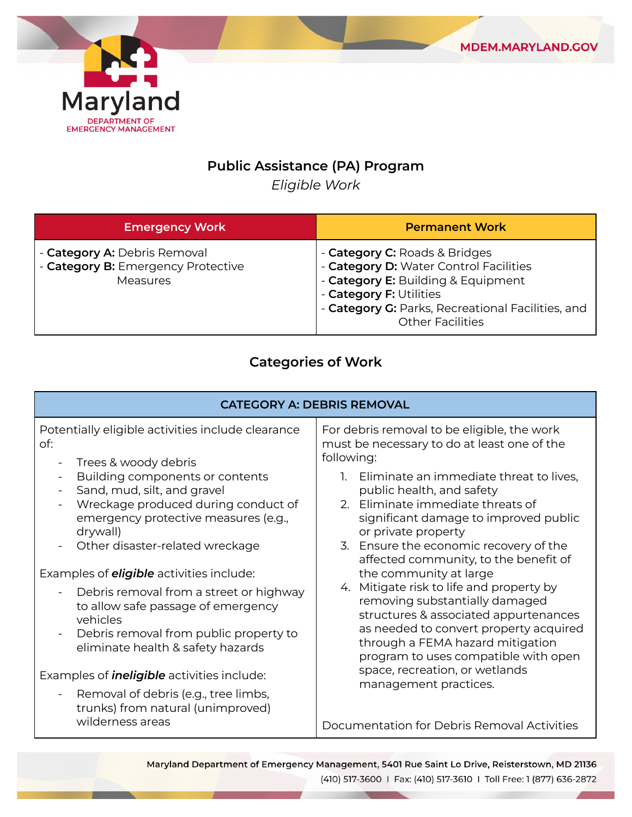

## **Public Assistance (PA) Program**

*Eligible Work*

| <b>Emergency Work</b>                                                                 | <b>Permanent Work</b>                                                                                                                                                                                                    |
|---------------------------------------------------------------------------------------|--------------------------------------------------------------------------------------------------------------------------------------------------------------------------------------------------------------------------|
| - Category A: Debris Removal<br>- Category B: Emergency Protective<br><b>Measures</b> | - Category C: Roads & Bridges<br>- Category D: Water Control Facilities<br>- Category E: Building & Equipment<br>- Category F: Utilities<br>- Category G: Parks, Recreational Facilities, and<br><b>Other Facilities</b> |

## **Categories of Work**

| <b>CATEGORY A: DEBRIS REMOVAL</b>                                                                                                                                                                                                                                                                                                                                               |                                                                                                                                                                                                                                                                                                                                                                                                                                                                                                                                                                                                                                                                                                               |  |
|---------------------------------------------------------------------------------------------------------------------------------------------------------------------------------------------------------------------------------------------------------------------------------------------------------------------------------------------------------------------------------|---------------------------------------------------------------------------------------------------------------------------------------------------------------------------------------------------------------------------------------------------------------------------------------------------------------------------------------------------------------------------------------------------------------------------------------------------------------------------------------------------------------------------------------------------------------------------------------------------------------------------------------------------------------------------------------------------------------|--|
| Potentially eligible activities include clearance<br>of:<br>Trees & woody debris<br>$\overline{\phantom{a}}$<br>Building components or contents<br>Sand, mud, silt, and gravel<br>$\blacksquare$<br>Wreckage produced during conduct of<br>emergency protective measures (e.g.,<br>drywall)<br>Other disaster-related wreckage                                                  | For debris removal to be eligible, the work<br>must be necessary to do at least one of the<br>following:<br>1. Eliminate an immediate threat to lives,<br>public health, and safety<br>2. Eliminate immediate threats of<br>significant damage to improved public<br>or private property<br>3. Ensure the economic recovery of the<br>affected community, to the benefit of<br>the community at large<br>4. Mitigate risk to life and property by<br>removing substantially damaged<br>structures & associated appurtenances<br>as needed to convert property acquired<br>through a FEMA hazard mitigation<br>program to uses compatible with open<br>space, recreation, or wetlands<br>management practices. |  |
| Examples of <b>eligible</b> activities include:<br>Debris removal from a street or highway<br>to allow safe passage of emergency<br>vehicles<br>Debris removal from public property to<br>$\blacksquare$<br>eliminate health & safety hazards<br>Examples of <i>ineligible</i> activities include:<br>Removal of debris (e.g., tree limbs,<br>trunks) from natural (unimproved) |                                                                                                                                                                                                                                                                                                                                                                                                                                                                                                                                                                                                                                                                                                               |  |
| wilderness areas                                                                                                                                                                                                                                                                                                                                                                | Documentation for Debris Removal Activities                                                                                                                                                                                                                                                                                                                                                                                                                                                                                                                                                                                                                                                                   |  |

Maryland Department of Emergency Management, 5401 Rue Saint Lo Drive, Reisterstown, MD 21136 (410) 517-3600 | Fax: (410) 517-3610 | Toll Free: 1 (877) 636-2872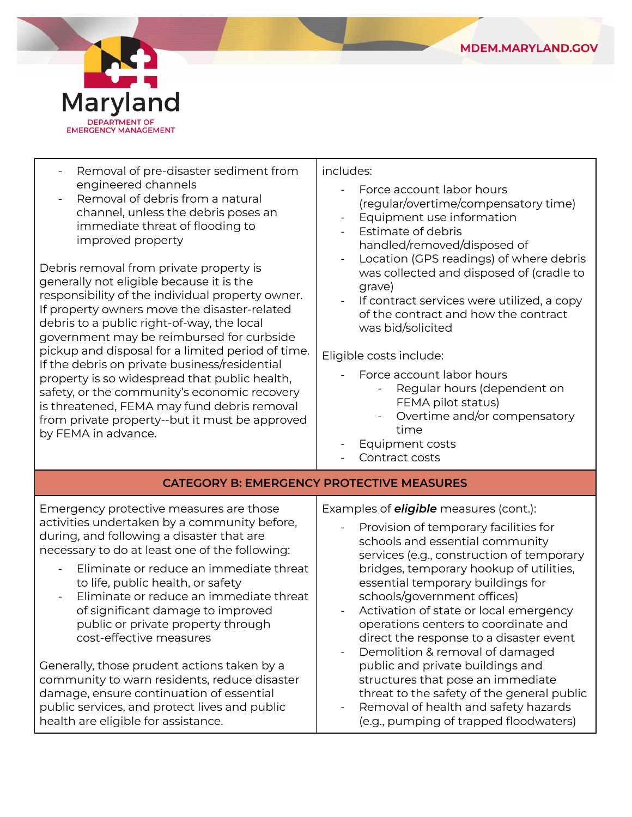



| Removal of pre-disaster sediment from<br>engineered channels<br>Removal of debris from a natural<br>channel, unless the debris poses an<br>immediate threat of flooding to<br>improved property<br>Debris removal from private property is<br>generally not eligible because it is the<br>responsibility of the individual property owner.<br>If property owners move the disaster-related<br>debris to a public right-of-way, the local<br>government may be reimbursed for curbside<br>pickup and disposal for a limited period of time.<br>If the debris on private business/residential<br>property is so widespread that public health,<br>safety, or the community's economic recovery<br>is threatened, FEMA may fund debris removal<br>from private property--but it must be approved<br>by FEMA in advance. | includes:<br>Force account labor hours<br>(regular/overtime/compensatory time)<br>Equipment use information<br>Estimate of debris<br>handled/removed/disposed of<br>Location (GPS readings) of where debris<br>was collected and disposed of (cradle to<br>grave)<br>If contract services were utilized, a copy<br>of the contract and how the contract<br>was bid/solicited<br>Eligible costs include:<br>Force account labor hours<br>Regular hours (dependent on<br>FEMA pilot status)<br>Overtime and/or compensatory<br>time<br>Equipment costs<br>Contract costs                                                                                         |  |
|----------------------------------------------------------------------------------------------------------------------------------------------------------------------------------------------------------------------------------------------------------------------------------------------------------------------------------------------------------------------------------------------------------------------------------------------------------------------------------------------------------------------------------------------------------------------------------------------------------------------------------------------------------------------------------------------------------------------------------------------------------------------------------------------------------------------|----------------------------------------------------------------------------------------------------------------------------------------------------------------------------------------------------------------------------------------------------------------------------------------------------------------------------------------------------------------------------------------------------------------------------------------------------------------------------------------------------------------------------------------------------------------------------------------------------------------------------------------------------------------|--|
| <b>CATEGORY B: EMERGENCY PROTECTIVE MEASURES</b>                                                                                                                                                                                                                                                                                                                                                                                                                                                                                                                                                                                                                                                                                                                                                                     |                                                                                                                                                                                                                                                                                                                                                                                                                                                                                                                                                                                                                                                                |  |
| Emergency protective measures are those<br>activities undertaken by a community before,<br>during, and following a disaster that are<br>necessary to do at least one of the following:<br>Eliminate or reduce an immediate threat<br>to life, public health, or safety<br>Eliminate or reduce an immediate threat<br>of significant damage to improved<br>public or private property through<br>cost-effective measures<br>Generally, those prudent actions taken by a<br>community to warn residents, reduce disaster<br>damage, ensure continuation of essential<br>public services, and protect lives and public<br>health are eligible for assistance.                                                                                                                                                           | Examples of <b>eligible</b> measures (cont.):<br>Provision of temporary facilities for<br>schools and essential community<br>services (e.g., construction of temporary<br>bridges, temporary hookup of utilities,<br>essential temporary buildings for<br>schools/government offices)<br>Activation of state or local emergency<br>operations centers to coordinate and<br>direct the response to a disaster event<br>Demolition & removal of damaged<br>public and private buildings and<br>structures that pose an immediate<br>threat to the safety of the general public<br>Removal of health and safety hazards<br>(e.g., pumping of trapped floodwaters) |  |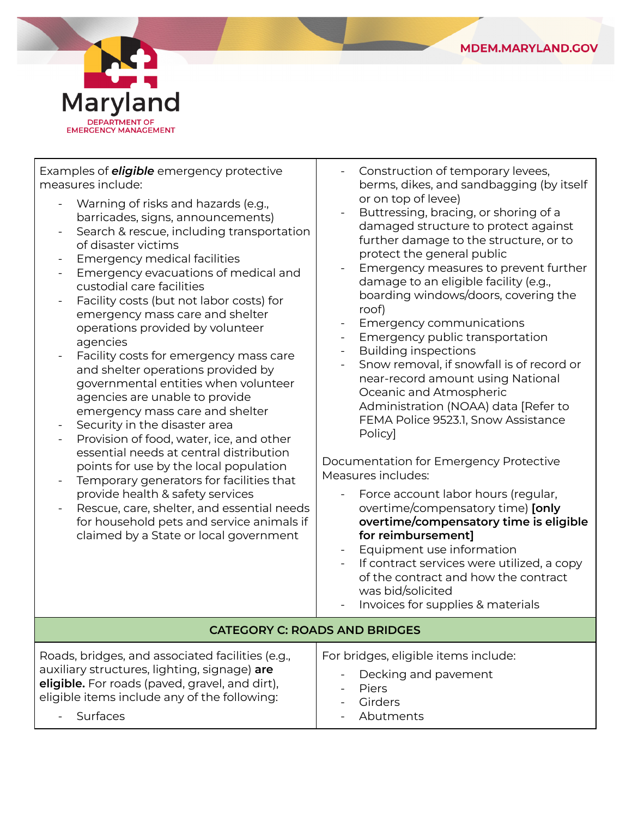

٦



| Examples of <i>eligible</i> emergency protective<br>measures include:<br>Warning of risks and hazards (e.g.,<br>barricades, signs, announcements)<br>Search & rescue, including transportation<br>of disaster victims<br><b>Emergency medical facilities</b><br>Emergency evacuations of medical and<br>custodial care facilities<br>Facility costs (but not labor costs) for<br>emergency mass care and shelter<br>operations provided by volunteer<br>agencies<br>Facility costs for emergency mass care<br>and shelter operations provided by<br>governmental entities when volunteer<br>agencies are unable to provide<br>emergency mass care and shelter<br>Security in the disaster area<br>Provision of food, water, ice, and other<br>essential needs at central distribution<br>points for use by the local population<br>Temporary generators for facilities that<br>provide health & safety services<br>Rescue, care, shelter, and essential needs<br>for household pets and service animals if<br>claimed by a State or local government | Construction of temporary levees,<br>berms, dikes, and sandbagging (by itself<br>or on top of levee)<br>Buttressing, bracing, or shoring of a<br>damaged structure to protect against<br>further damage to the structure, or to<br>protect the general public<br>Emergency measures to prevent further<br>damage to an eligible facility (e.g.,<br>boarding windows/doors, covering the<br>roof)<br>Emergency communications<br>Emergency public transportation<br><b>Building inspections</b><br>$\overline{\phantom{a}}$<br>Snow removal, if snowfall is of record or<br>$\overline{\phantom{a}}$<br>near-record amount using National<br>Oceanic and Atmospheric<br>Administration (NOAA) data [Refer to<br>FEMA Police 9523.1, Snow Assistance<br>Policy]<br>Documentation for Emergency Protective<br>Measures includes:<br>Force account labor hours (regular,<br>overtime/compensatory time) [only<br>overtime/compensatory time is eligible<br>for reimbursement]<br>Equipment use information<br>If contract services were utilized, a copy<br>of the contract and how the contract<br>was bid/solicited |  |
|------------------------------------------------------------------------------------------------------------------------------------------------------------------------------------------------------------------------------------------------------------------------------------------------------------------------------------------------------------------------------------------------------------------------------------------------------------------------------------------------------------------------------------------------------------------------------------------------------------------------------------------------------------------------------------------------------------------------------------------------------------------------------------------------------------------------------------------------------------------------------------------------------------------------------------------------------------------------------------------------------------------------------------------------------|-------------------------------------------------------------------------------------------------------------------------------------------------------------------------------------------------------------------------------------------------------------------------------------------------------------------------------------------------------------------------------------------------------------------------------------------------------------------------------------------------------------------------------------------------------------------------------------------------------------------------------------------------------------------------------------------------------------------------------------------------------------------------------------------------------------------------------------------------------------------------------------------------------------------------------------------------------------------------------------------------------------------------------------------------------------------------------------------------------------------|--|
| Invoices for supplies & materials<br><b>CATEGORY C: ROADS AND BRIDGES</b>                                                                                                                                                                                                                                                                                                                                                                                                                                                                                                                                                                                                                                                                                                                                                                                                                                                                                                                                                                            |                                                                                                                                                                                                                                                                                                                                                                                                                                                                                                                                                                                                                                                                                                                                                                                                                                                                                                                                                                                                                                                                                                                   |  |
|                                                                                                                                                                                                                                                                                                                                                                                                                                                                                                                                                                                                                                                                                                                                                                                                                                                                                                                                                                                                                                                      |                                                                                                                                                                                                                                                                                                                                                                                                                                                                                                                                                                                                                                                                                                                                                                                                                                                                                                                                                                                                                                                                                                                   |  |
| Roads, bridges, and associated facilities (e.g.,<br>auxiliary structures, lighting, signage) are<br>eligible. For roads (paved, gravel, and dirt),<br>eligible items include any of the following:<br>Surfaces                                                                                                                                                                                                                                                                                                                                                                                                                                                                                                                                                                                                                                                                                                                                                                                                                                       | For bridges, eligible items include:<br>Decking and pavement<br>Piers<br>Girders<br>Abutments                                                                                                                                                                                                                                                                                                                                                                                                                                                                                                                                                                                                                                                                                                                                                                                                                                                                                                                                                                                                                     |  |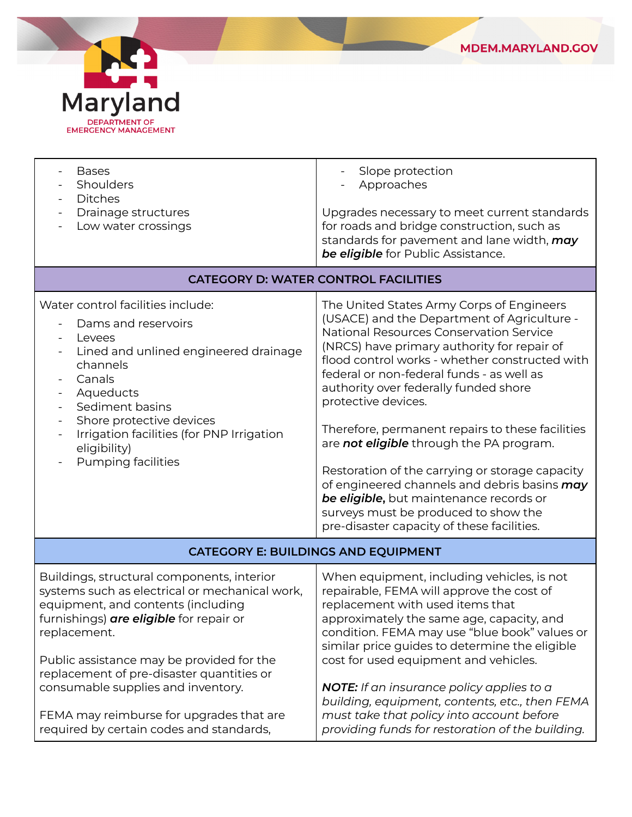

| <b>Bases</b><br>Shoulders<br><b>Ditches</b><br>Drainage structures<br>$\blacksquare$<br>Low water crossings                                                                                                                                                                                                          | Slope protection<br>Approaches<br>Upgrades necessary to meet current standards<br>for roads and bridge construction, such as<br>standards for pavement and lane width, may<br>be eligible for Public Assistance.                                                                                                                                                                                                                                                                                                                                                                                                                                                                      |  |
|----------------------------------------------------------------------------------------------------------------------------------------------------------------------------------------------------------------------------------------------------------------------------------------------------------------------|---------------------------------------------------------------------------------------------------------------------------------------------------------------------------------------------------------------------------------------------------------------------------------------------------------------------------------------------------------------------------------------------------------------------------------------------------------------------------------------------------------------------------------------------------------------------------------------------------------------------------------------------------------------------------------------|--|
| <b>CATEGORY D: WATER CONTROL FACILITIES</b>                                                                                                                                                                                                                                                                          |                                                                                                                                                                                                                                                                                                                                                                                                                                                                                                                                                                                                                                                                                       |  |
| Water control facilities include:<br>Dams and reservoirs<br>Levees<br>$\blacksquare$<br>Lined and unlined engineered drainage<br>channels<br>Canals<br>Aqueducts<br>$\blacksquare$<br>Sediment basins<br>Shore protective devices<br>Irrigation facilities (for PNP Irrigation<br>eligibility)<br>Pumping facilities | The United States Army Corps of Engineers<br>(USACE) and the Department of Agriculture -<br>National Resources Conservation Service<br>(NRCS) have primary authority for repair of<br>flood control works - whether constructed with<br>federal or non-federal funds - as well as<br>authority over federally funded shore<br>protective devices.<br>Therefore, permanent repairs to these facilities<br>are not eligible through the PA program.<br>Restoration of the carrying or storage capacity<br>of engineered channels and debris basins may<br>be eligible, but maintenance records or<br>surveys must be produced to show the<br>pre-disaster capacity of these facilities. |  |
| <b>CATEGORY E: BUILDINGS AND EQUIPMENT</b>                                                                                                                                                                                                                                                                           |                                                                                                                                                                                                                                                                                                                                                                                                                                                                                                                                                                                                                                                                                       |  |
| Buildings, structural components, interior<br>systems such as electrical or mechanical work,<br>equipment, and contents (including<br>furnishings) are eligible for repair or<br>replacement.<br>Public assistance may be provided for the                                                                           | When equipment, including vehicles, is not<br>repairable, FEMA will approve the cost of<br>replacement with used items that<br>approximately the same age, capacity, and<br>condition. FEMA may use "blue book" values or<br>similar price guides to determine the eligible<br>cost for used equipment and vehicles.                                                                                                                                                                                                                                                                                                                                                                  |  |
| replacement of pre-disaster quantities or<br>consumable supplies and inventory.<br>FEMA may reimburse for upgrades that are<br>required by certain codes and standards,                                                                                                                                              | <b>NOTE:</b> If an insurance policy applies to a<br>building, equipment, contents, etc., then FEMA<br>must take that policy into account before<br>providing funds for restoration of the building.                                                                                                                                                                                                                                                                                                                                                                                                                                                                                   |  |